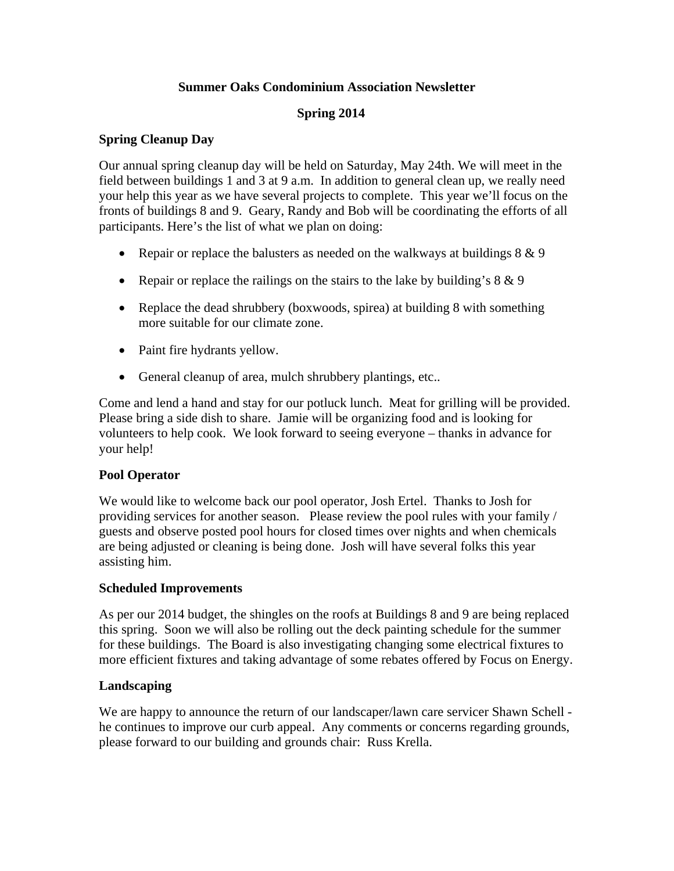## **Summer Oaks Condominium Association Newsletter**

## **Spring 2014**

### **Spring Cleanup Day**

Our annual spring cleanup day will be held on Saturday, May 24th. We will meet in the field between buildings 1 and 3 at 9 a.m. In addition to general clean up, we really need your help this year as we have several projects to complete. This year we'll focus on the fronts of buildings 8 and 9. Geary, Randy and Bob will be coordinating the efforts of all participants. Here's the list of what we plan on doing:

- Repair or replace the balusters as needed on the walkways at buildings  $8 \& 9$
- Repair or replace the railings on the stairs to the lake by building's  $8 \& 9$
- Replace the dead shrubbery (boxwoods, spirea) at building 8 with something more suitable for our climate zone.
- Paint fire hydrants yellow.
- General cleanup of area, mulch shrubbery plantings, etc..

Come and lend a hand and stay for our potluck lunch. Meat for grilling will be provided. Please bring a side dish to share. Jamie will be organizing food and is looking for volunteers to help cook. We look forward to seeing everyone – thanks in advance for your help!

#### **Pool Operator**

We would like to welcome back our pool operator, Josh Ertel. Thanks to Josh for providing services for another season. Please review the pool rules with your family / guests and observe posted pool hours for closed times over nights and when chemicals are being adjusted or cleaning is being done. Josh will have several folks this year assisting him.

#### **Scheduled Improvements**

As per our 2014 budget, the shingles on the roofs at Buildings 8 and 9 are being replaced this spring. Soon we will also be rolling out the deck painting schedule for the summer for these buildings. The Board is also investigating changing some electrical fixtures to more efficient fixtures and taking advantage of some rebates offered by Focus on Energy.

#### **Landscaping**

We are happy to announce the return of our landscaper/lawn care servicer Shawn Schell he continues to improve our curb appeal. Any comments or concerns regarding grounds, please forward to our building and grounds chair: Russ Krella.